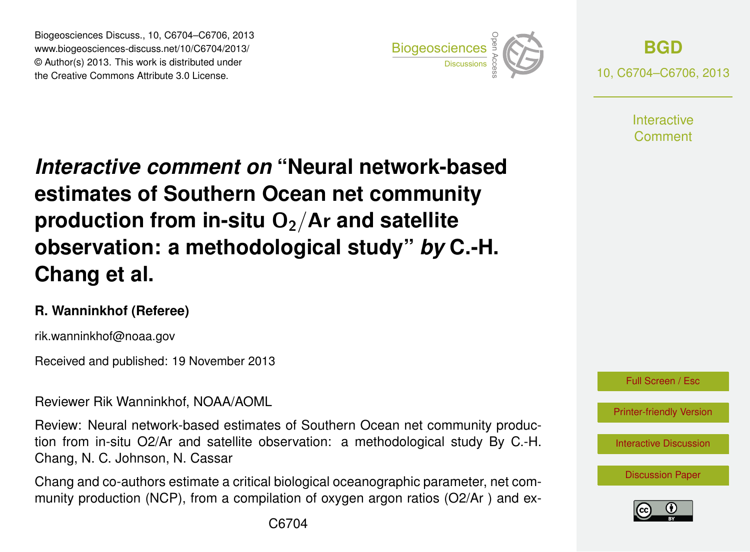Biogeosciences Discuss., 10, C6704–C6706, 2013 www.biogeosciences-discuss.net/10/C6704/2013/ www.biogeosciences-ulscuss.net/10/00704/2013/<br>© Author(s) 2013. This work is distributed under the Creative Commons Attribute 3.0 License.



**[BGD](http://www.biogeosciences-discuss.net)** 10, C6704–C6706, 2013

> **Interactive** Comment

## Earth System estimates of Southern Ocean net community  $\sum_{i=1}^{\infty}$  $\overline{a}$ *Interactive comment on* **"Neural network-based** geolation. Instrumentation  $\overline{\phantom{a}}$  $F \circ F$ Instrumentation **observation: a methodological study"** *by* **C.-H.**  $\overline{\phantom{a}}$ **production from in-situ O<sub>2</sub>/Ar and satellite Chang et al.**

## **R. Wanninkhof (Referee)**

rik.wanninkhof@noaa.gov

Received and published: 19 November 2013

Reviewer Rik Wanninkhof, NOAA/AOML

Review: Neural network-based estimates of Southern Ocean net community produc- $\frac{1}{2}$ Open Access Discussions tion from in-situ O2/Ar and satellite observation: a methodological study By C.-H. Open Access –<br>n Chang, N. C. Johnson, N. Cassar

Chang and co-authors estimate a critical biological oceanographic parameter, net community production (NCP), from a compilation of oxygen argon ratios (O2/Ar ) and ex-



[Printer-friendly Version](http://www.biogeosciences-discuss.net/10/C6704/2013/bgd-10-C6704-2013-print.pdf)

[Interactive Discussion](http://www.biogeosciences-discuss.net/10/16923/2013/bgd-10-16923-2013-discussion.html)

[Discussion Paper](http://www.biogeosciences-discuss.net/10/16923/2013/bgd-10-16923-2013.pdf)

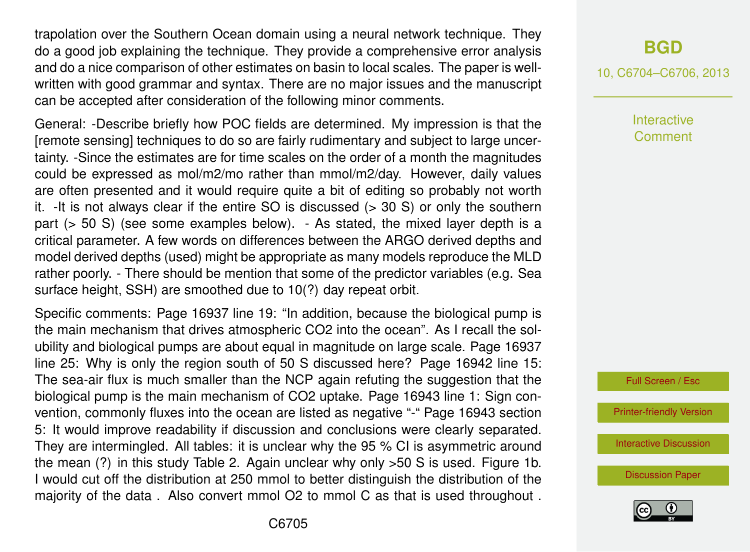trapolation over the Southern Ocean domain using a neural network technique. They do a good job explaining the technique. They provide a comprehensive error analysis and do a nice comparison of other estimates on basin to local scales. The paper is wellwritten with good grammar and syntax. There are no major issues and the manuscript can be accepted after consideration of the following minor comments.

General: -Describe briefly how POC fields are determined. My impression is that the [remote sensing] techniques to do so are fairly rudimentary and subject to large uncertainty. -Since the estimates are for time scales on the order of a month the magnitudes could be expressed as mol/m2/mo rather than mmol/m2/day. However, daily values are often presented and it would require quite a bit of editing so probably not worth it.  $-It$  is not always clear if the entire SO is discussed  $(> 30 S)$  or only the southern part (> 50 S) (see some examples below). - As stated, the mixed layer depth is a critical parameter. A few words on differences between the ARGO derived depths and model derived depths (used) might be appropriate as many models reproduce the MLD rather poorly. - There should be mention that some of the predictor variables (e.g. Sea surface height, SSH) are smoothed due to 10(?) day repeat orbit.

Specific comments: Page 16937 line 19: "In addition, because the biological pump is the main mechanism that drives atmospheric CO2 into the ocean". As I recall the solubility and biological pumps are about equal in magnitude on large scale. Page 16937 line 25: Why is only the region south of 50 S discussed here? Page 16942 line 15: The sea-air flux is much smaller than the NCP again refuting the suggestion that the biological pump is the main mechanism of CO2 uptake. Page 16943 line 1: Sign convention, commonly fluxes into the ocean are listed as negative "-" Page 16943 section 5: It would improve readability if discussion and conclusions were clearly separated. They are intermingled. All tables: it is unclear why the 95 % CI is asymmetric around the mean (?) in this study Table 2. Again unclear why only >50 S is used. Figure 1b. I would cut off the distribution at 250 mmol to better distinguish the distribution of the majority of the data . Also convert mmol O2 to mmol C as that is used throughout .

## **[BGD](http://www.biogeosciences-discuss.net)**

10, C6704–C6706, 2013

**Interactive** Comment



[Printer-friendly Version](http://www.biogeosciences-discuss.net/10/C6704/2013/bgd-10-C6704-2013-print.pdf)

[Interactive Discussion](http://www.biogeosciences-discuss.net/10/16923/2013/bgd-10-16923-2013-discussion.html)

[Discussion Paper](http://www.biogeosciences-discuss.net/10/16923/2013/bgd-10-16923-2013.pdf)